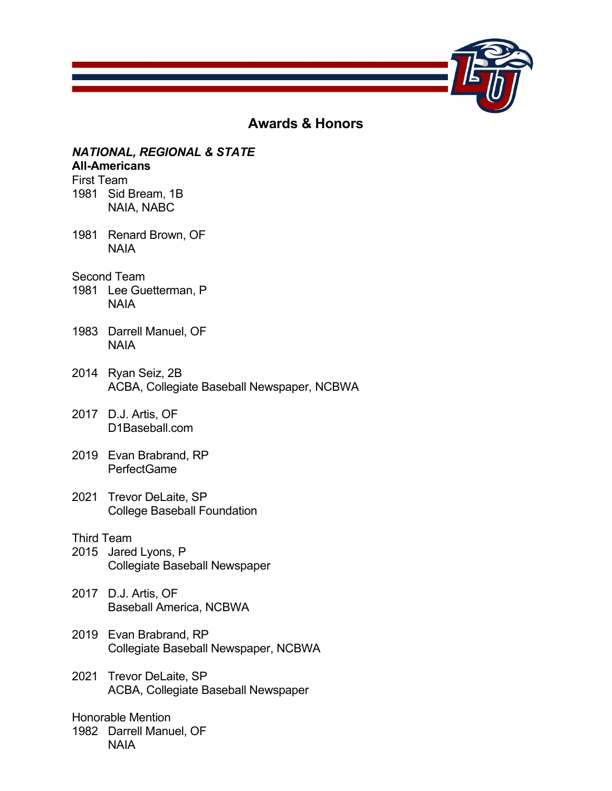

# **Awards & Honors**

# *NATIONAL, REGIONAL & STATE*

# **All-Americans**

First Team 1981 Sid Bream, 1B NAIA, NABC

- 1981 Renard Brown, OF NAIA
- Second Team
- 1981 Lee Guetterman, P NAIA
- 1983 Darrell Manuel, OF NAIA
- 2014 Ryan Seiz, 2B ACBA, Collegiate Baseball Newspaper, NCBWA
- 2017 D.J. Artis, OF D1Baseball.com
- 2019 Evan Brabrand, RP PerfectGame
- 2021 Trevor DeLaite, SP College Baseball Foundation

### Third Team

- 2015 Jared Lyons, P Collegiate Baseball Newspaper
- 2017 D.J. Artis, OF Baseball America, NCBWA
- 2019 Evan Brabrand, RP Collegiate Baseball Newspaper, NCBWA
- 2021 Trevor DeLaite, SP ACBA, Collegiate Baseball Newspaper

### Honorable Mention

1982 Darrell Manuel, OF NAIA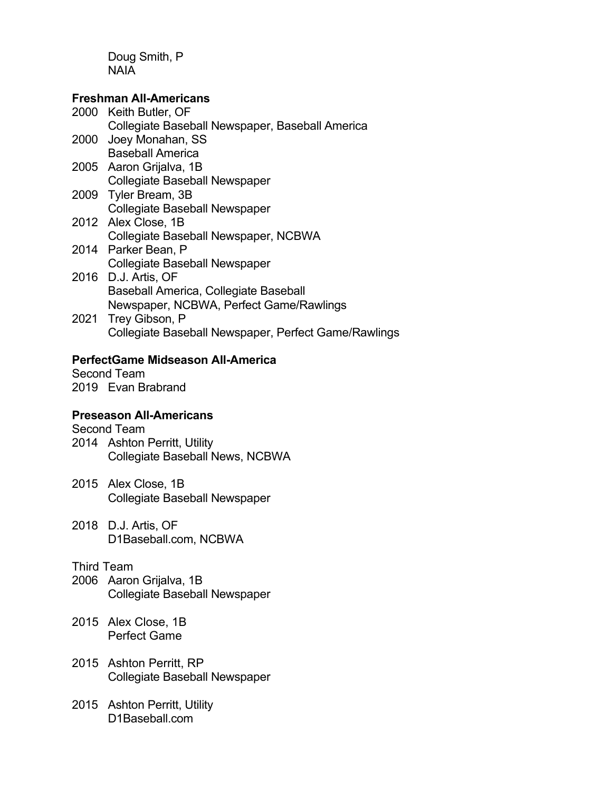Doug Smith, P NAIA

### **Freshman All-Americans**

|  | 2000 Keith Butler, OF                                |
|--|------------------------------------------------------|
|  | Collegiate Baseball Newspaper, Baseball America      |
|  | 2000 Joey Monahan, SS                                |
|  | <b>Baseball America</b>                              |
|  | 2005 Aaron Grijalva, 1B                              |
|  | <b>Collegiate Baseball Newspaper</b>                 |
|  | 2009 Tyler Bream, 3B                                 |
|  | Collegiate Baseball Newspaper                        |
|  | 2012 Alex Close, 1B                                  |
|  | Collegiate Baseball Newspaper, NCBWA                 |
|  | 2014 Parker Bean, P                                  |
|  | <b>Collegiate Baseball Newspaper</b>                 |
|  | 2016 D.J. Artis, OF                                  |
|  | Baseball America, Collegiate Baseball                |
|  | Newspaper, NCBWA, Perfect Game/Rawlings              |
|  | 2021 Trey Gibson, P                                  |
|  | Collegiate Baseball Newspaper, Perfect Game/Rawlings |

## **PerfectGame Midseason All-America**

Second Team 2019 Evan Brabrand

# **Preseason All-Americans**

Second Team

- 2014 Ashton Perritt, Utility Collegiate Baseball News, NCBWA
- 2015 Alex Close, 1B Collegiate Baseball Newspaper
- 2018 D.J. Artis, OF D1Baseball.com, NCBWA

## Third Team

- 2006 Aaron Grijalva, 1B Collegiate Baseball Newspaper
- 2015 Alex Close, 1B Perfect Game
- 2015 Ashton Perritt, RP Collegiate Baseball Newspaper
- 2015 Ashton Perritt, Utility D1Baseball.com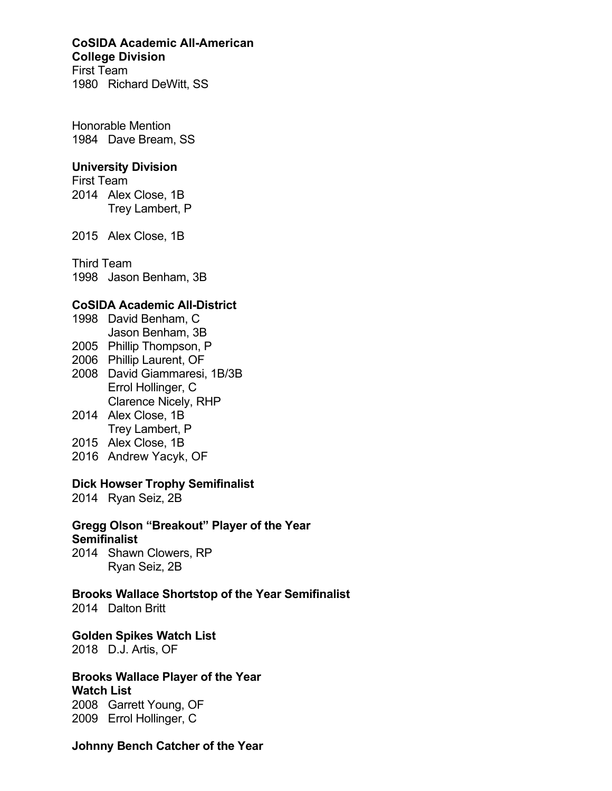#### **CoSIDA Academic All-American College Division**

First Team 1980 Richard DeWitt, SS

Honorable Mention 1984 Dave Bream, SS

### **University Division**

First Team 2014 Alex Close, 1B Trey Lambert, P

2015 Alex Close, 1B

Third Team 1998 Jason Benham, 3B

### **CoSIDA Academic All-District**

- 1998 David Benham, C Jason Benham, 3B
- 2005 Phillip Thompson, P
- 2006 Phillip Laurent, OF
- 2008 David Giammaresi, 1B/3B Errol Hollinger, C Clarence Nicely, RHP
- 2014 Alex Close, 1B Trey Lambert, P
- 2015 Alex Close, 1B
- 2016 Andrew Yacyk, OF

### **Dick Howser Trophy Semifinalist**

2014 Ryan Seiz, 2B

# **Gregg Olson "Breakout" Player of the Year**

### **Semifinalist**

2014 Shawn Clowers, RP Ryan Seiz, 2B

**Brooks Wallace Shortstop of the Year Semifinalist**

2014 Dalton Britt

**Golden Spikes Watch List**

2018 D.J. Artis, OF

# **Brooks Wallace Player of the Year**

**Watch List** 2008 Garrett Young, OF 2009 Errol Hollinger, C

### **Johnny Bench Catcher of the Year**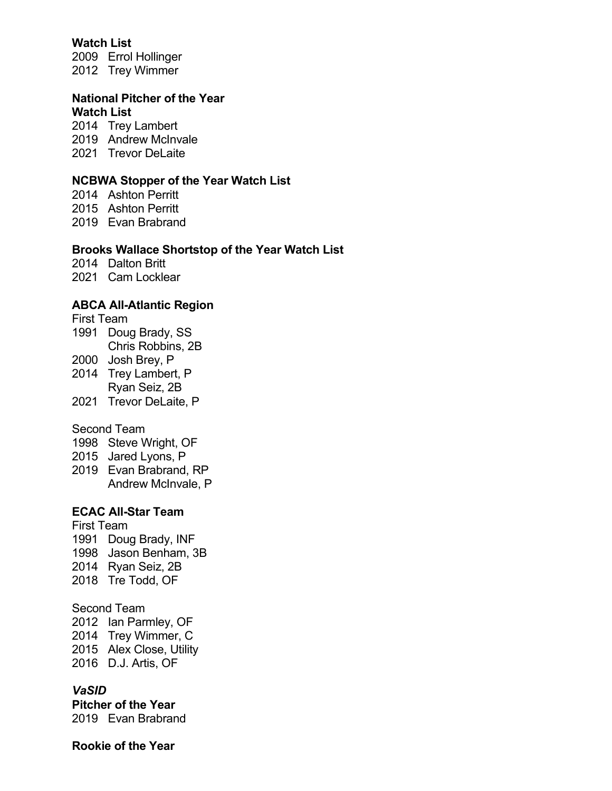### **Watch List**

2009 Errol Hollinger 2012 Trey Wimmer

#### **National Pitcher of the Year Watch List**

2014 Trey Lambert 2019 Andrew McInvale 2021 Trevor DeLaite

#### **NCBWA Stopper of the Year Watch List**

2014 Ashton Perritt 2015 Ashton Perritt 2019 Evan Brabrand

#### **Brooks Wallace Shortstop of the Year Watch List**

2014 Dalton Britt

2021 Cam Locklear

### **ABCA All-Atlantic Region**

First Team 1991 Doug Brady, SS Chris Robbins, 2B 2000 Josh Brey, P

- 2014 Trey Lambert, P Ryan Seiz, 2B
- 2021 Trevor DeLaite, P

#### Second Team

1998 Steve Wright, OF

- 2015 Jared Lyons, P
- 2019 Evan Brabrand, RP Andrew McInvale, P

# **ECAC All-Star Team**

First Team 1991 Doug Brady, INF 1998 Jason Benham, 3B 2014 Ryan Seiz, 2B 2018 Tre Todd, OF

### Second Team

 Ian Parmley, OF Trey Wimmer, C Alex Close, Utility D.J. Artis, OF

### *VaSID*

**Pitcher of the Year** 2019 Evan Brabrand

#### **Rookie of the Year**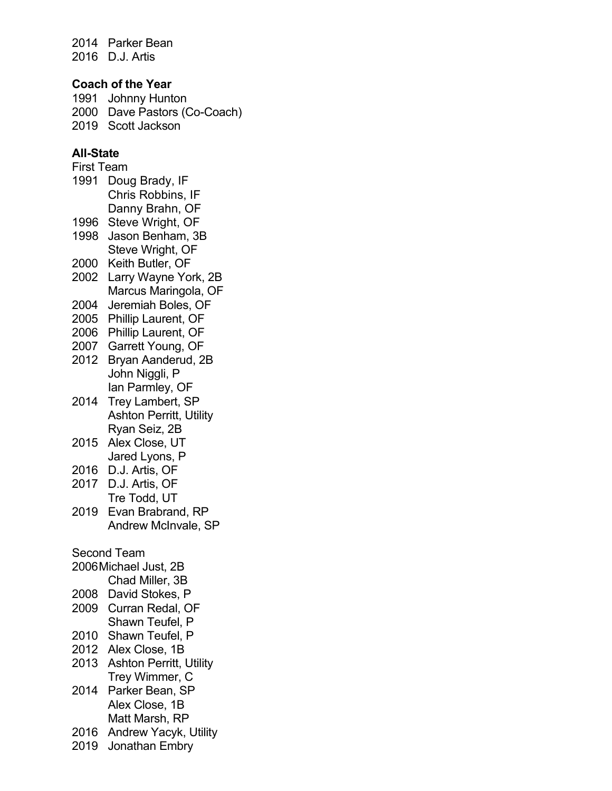2014 Parker Bean 2016 D.J. Artis

### **Coach of the Year**

1991 Johnny Hunton 2000 Dave Pastors (Co-Coach) 2019 Scott Jackson

### **All-State**

First Team 1991 Doug Brady, IF Chris Robbins, IF Danny Brahn, OF 1996 Steve Wright, OF 1998 Jason Benham, 3B Steve Wright, OF 2000 Keith Butler, OF 2002 Larry Wayne York, 2B Marcus Maringola, OF 2004 Jeremiah Boles, OF 2005 Phillip Laurent, OF 2006 Phillip Laurent, OF 2007 Garrett Young, OF 2012 Bryan Aanderud, 2B John Niggli, P Ian Parmley, OF 2014 Trey Lambert, SP Ashton Perritt, Utility Ryan Seiz, 2B 2015 Alex Close, UT Jared Lyons, P 2016 D.J. Artis, OF 2017 D.J. Artis, OF Tre Todd, UT 2019 Evan Brabrand, RP Andrew McInvale, SP Second Team 2006Michael Just, 2B Chad Miller, 3B 2008 David Stokes, P 2009 Curran Redal, OF Shawn Teufel, P 2010 Shawn Teufel, P 2012 Alex Close, 1B 2013 Ashton Perritt, Utility Trey Wimmer, C 2014 Parker Bean, SP Alex Close, 1B Matt Marsh, RP 2016 Andrew Yacyk, Utility

2019 Jonathan Embry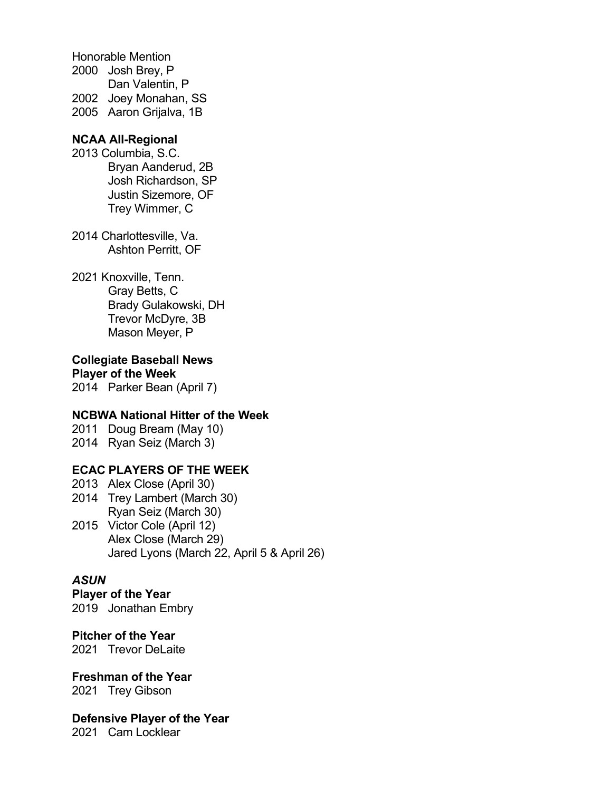Honorable Mention 2000 Josh Brey, P Dan Valentin, P 2002 Joey Monahan, SS 2005 Aaron Grijalva, 1B

### **NCAA All-Regional**

- 2013 Columbia, S.C. Bryan Aanderud, 2B Josh Richardson, SP Justin Sizemore, OF Trey Wimmer, C
- 2014 Charlottesville, Va. Ashton Perritt, OF
- 2021 Knoxville, Tenn. Gray Betts, C Brady Gulakowski, DH Trevor McDyre, 3B Mason Meyer, P

**Collegiate Baseball News Player of the Week**

2014 Parker Bean (April 7)

#### **NCBWA National Hitter of the Week**

2011 Doug Bream (May 10) 2014 Ryan Seiz (March 3)

### **ECAC PLAYERS OF THE WEEK**

- 2013 Alex Close (April 30) 2014 Trey Lambert (March 30) Ryan Seiz (March 30) 2015 Victor Cole (April 12)
	- Alex Close (March 29) Jared Lyons (March 22, April 5 & April 26)

### *ASUN*

**Player of the Year** 2019 Jonathan Embry

### **Pitcher of the Year**

2021 Trevor DeLaite

### **Freshman of the Year**

2021 Trey Gibson

**Defensive Player of the Year**

2021 Cam Locklear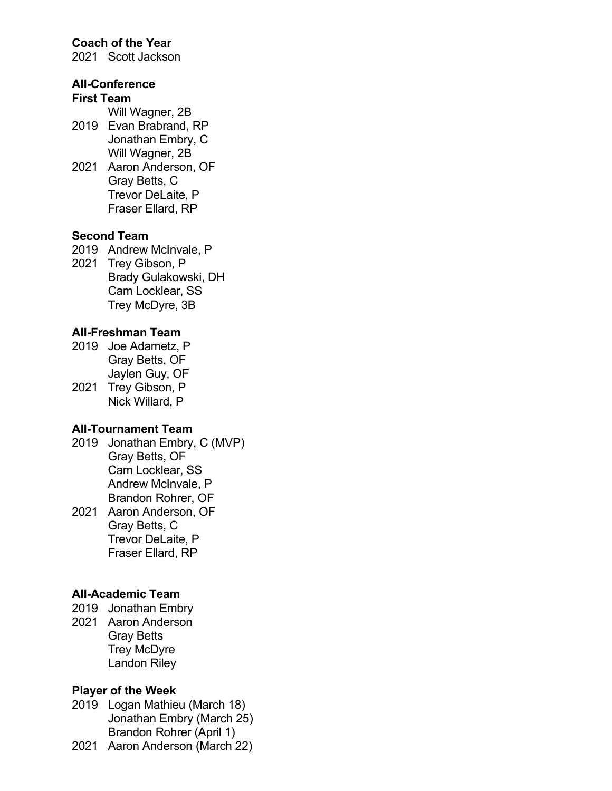### **Coach of the Year**

2021 Scott Jackson

### **All-Conference**

### **First Team**

Will Wagner, 2B

- 2019 Evan Brabrand, RP Jonathan Embry, C Will Wagner, 2B
- 2021 Aaron Anderson, OF Gray Betts, C Trevor DeLaite, P Fraser Ellard, RP

#### **Second Team**

2019 Andrew McInvale, P

2021 Trey Gibson, P Brady Gulakowski, DH Cam Locklear, SS Trey McDyre, 3B

### **All-Freshman Team**

- 2019 Joe Adametz, P Gray Betts, OF Jaylen Guy, OF
- 2021 Trey Gibson, P Nick Willard, P

#### **All-Tournament Team**

- 2019 Jonathan Embry, C (MVP) Gray Betts, OF Cam Locklear, SS Andrew McInvale, P Brandon Rohrer, OF
- 2021 Aaron Anderson, OF Gray Betts, C Trevor DeLaite, P Fraser Ellard, RP

#### **All-Academic Team**

- 2019 Jonathan Embry
- 2021 Aaron Anderson Gray Betts Trey McDyre Landon Riley

#### **Player of the Week**

- 2019 Logan Mathieu (March 18) Jonathan Embry (March 25) Brandon Rohrer (April 1)
- 2021 Aaron Anderson (March 22)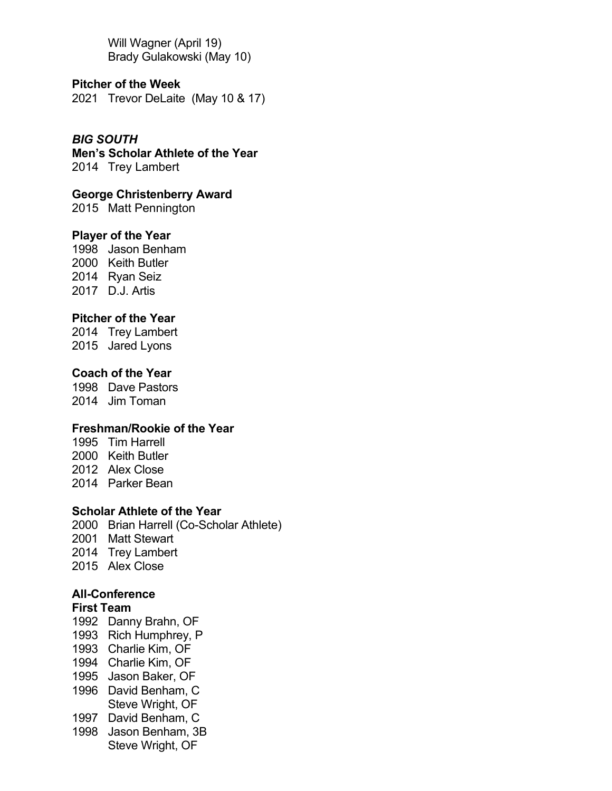Will Wagner (April 19) Brady Gulakowski (May 10)

**Pitcher of the Week** Trevor DeLaite (May 10 & 17)

*BIG SOUTH*

**Men's Scholar Athlete of the Year** Trey Lambert

**George Christenberry Award**

Matt Pennington

### **Player of the Year**

 Jason Benham Keith Butler Ryan Seiz D.J. Artis

### **Pitcher of the Year**

 Trey Lambert Jared Lyons

### **Coach of the Year**

 Dave Pastors Jim Toman

### **Freshman/Rookie of the Year**

 Tim Harrell Keith Butler Alex Close Parker Bean

### **Scholar Athlete of the Year**

 Brian Harrell (Co-Scholar Athlete) Matt Stewart Trey Lambert Alex Close

### **All-Conference**

#### **First Team**

- Danny Brahn, OF
- Rich Humphrey, P
- Charlie Kim, OF
- Charlie Kim, OF
- Jason Baker, OF
- 1996 David Benham, C Steve Wright, OF
- David Benham, C
- Jason Benham, 3B Steve Wright, OF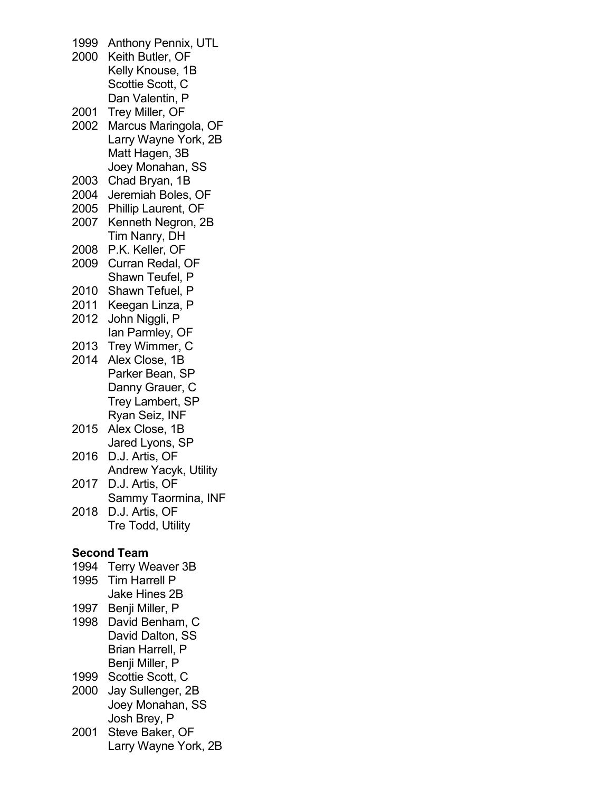1999 Anthony Pennix, UTL 2000 Keith Butler, OF Kelly Knouse, 1B Scottie Scott, C Dan Valentin, P 2001 Trey Miller, OF 2002 Marcus Maringola, OF Larry Wayne York, 2B Matt Hagen, 3B Joey Monahan, SS 2003 Chad Bryan, 1B 2004 Jeremiah Boles, OF 2005 Phillip Laurent, OF 2007 Kenneth Negron, 2B Tim Nanry, DH 2008 P.K. Keller, OF 2009 Curran Redal, OF Shawn Teufel, P 2010 Shawn Tefuel, P 2011 Keegan Linza, P 2012 John Niggli, P Ian Parmley, OF 2013 Trey Wimmer, C 2014 Alex Close, 1B Parker Bean, SP Danny Grauer, C Trey Lambert, SP Ryan Seiz, INF 2015 Alex Close, 1B Jared Lyons, SP 2016 D.J. Artis, OF Andrew Yacyk, Utility 2017 D.J. Artis, OF Sammy Taormina, INF 2018 D.J. Artis, OF Tre Todd, Utility **Second Team** 1994 Terry Weaver 3B 1995 Tim Harrell P Jake Hines 2B 1997 Benji Miller, P 1998 David Benham, C David Dalton, SS Brian Harrell, P Benji Miller, P 1999 Scottie Scott, C 2000 Jay Sullenger, 2B Joey Monahan, SS Josh Brey, P

2001 Steve Baker, OF Larry Wayne York, 2B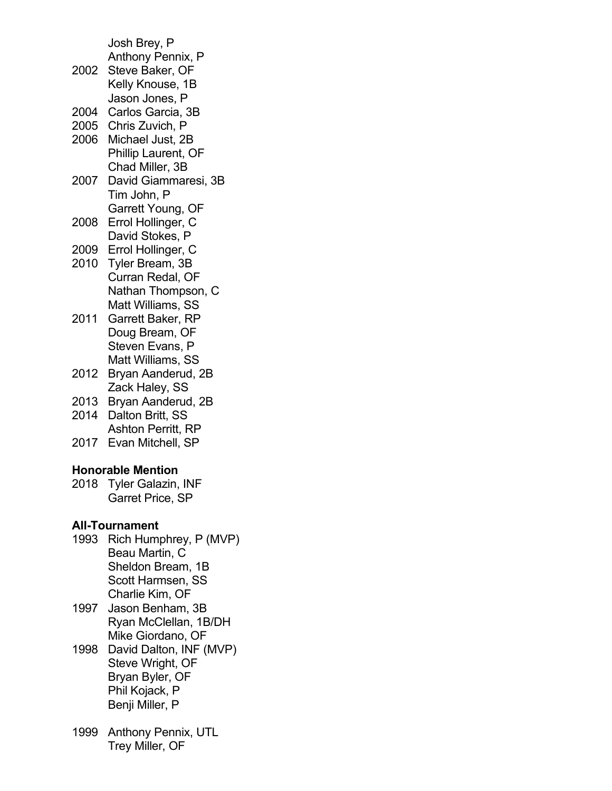Josh Brey, P Anthony Pennix, P 2002 Steve Baker, OF Kelly Knouse, 1B Jason Jones, P 2004 Carlos Garcia, 3B 2005 Chris Zuvich, P 2006 Michael Just, 2B Phillip Laurent, OF Chad Miller, 3B 2007 David Giammaresi, 3B Tim John, P Garrett Young, OF 2008 Errol Hollinger, C David Stokes, P 2009 Errol Hollinger, C 2010 Tyler Bream, 3B Curran Redal, OF Nathan Thompson, C Matt Williams, SS 2011 Garrett Baker, RP Doug Bream, OF Steven Evans, P Matt Williams, SS 2012 Bryan Aanderud, 2B Zack Haley, SS 2013 Bryan Aanderud, 2B 2014 Dalton Britt, SS Ashton Perritt, RP 2017 Evan Mitchell, SP **Honorable Mention** 2018 Tyler Galazin, INF Garret Price, SP **All-Tournament** 1993 Rich Humphrey, P (MVP) Beau Martin, C Sheldon Bream, 1B Scott Harmsen, SS Charlie Kim, OF 1997 Jason Benham, 3B Ryan McClellan, 1B/DH Mike Giordano, OF 1998 David Dalton, INF (MVP) Steve Wright, OF Bryan Byler, OF Phil Kojack, P

1999 Anthony Pennix, UTL Trey Miller, OF

Benji Miller, P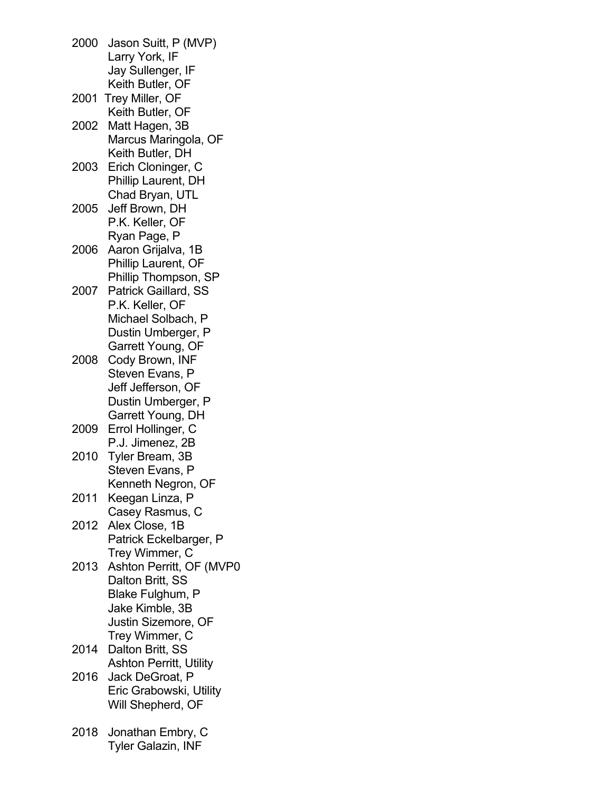2000 Jason Suitt, P (MVP) Larry York, IF Jay Sullenger, IF Keith Butler, OF 2001 Trey Miller, OF Keith Butler, OF 2002 Matt Hagen, 3B Marcus Maringola, OF Keith Butler, DH 2003 Erich Cloninger, C Phillip Laurent, DH Chad Bryan, UTL 2005 Jeff Brown, DH P.K. Keller, OF Ryan Page, P 2006 Aaron Grijalva, 1B Phillip Laurent, OF Phillip Thompson, SP 2007 Patrick Gaillard, SS P.K. Keller, OF Michael Solbach, P Dustin Umberger, P Garrett Young, OF 2008 Cody Brown, INF Steven Evans, P Jeff Jefferson, OF Dustin Umberger, P Garrett Young, DH 2009 Errol Hollinger, C P.J. Jimenez, 2B 2010 Tyler Bream, 3B Steven Evans, P Kenneth Negron, OF 2011 Keegan Linza, P Casey Rasmus, C 2012 Alex Close, 1B Patrick Eckelbarger, P Trey Wimmer, C 2013 Ashton Perritt, OF (MVP0 Dalton Britt, SS Blake Fulghum, P Jake Kimble, 3B Justin Sizemore, OF Trey Wimmer, C 2014 Dalton Britt, SS Ashton Perritt, Utility 2016 Jack DeGroat, P Eric Grabowski, Utility Will Shepherd, OF 2018 Jonathan Embry, C Tyler Galazin, INF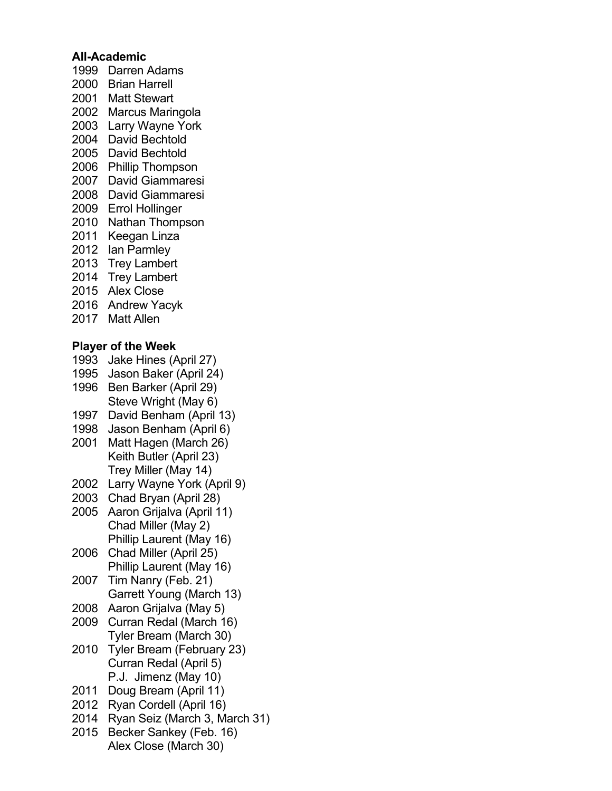### **All-Academic**

- Darren Adams
- Brian Harrell
- Matt Stewart
- Marcus Maringola
- Larry Wayne York
- David Bechtold
- David Bechtold
- Phillip Thompson
- David Giammaresi
- David Giammaresi
- Errol Hollinger
- Nathan Thompson
- Keegan Linza
- Ian Parmley
- Trey Lambert
- Trey Lambert
- Alex Close
- Andrew Yacyk
- Matt Allen

# **Player of the Week**

- Jake Hines (April 27)
- Jason Baker (April 24)
- Ben Barker (April 29) Steve Wright (May 6)
- David Benham (April 13)
- Jason Benham (April 6)
- Matt Hagen (March 26) Keith Butler (April 23) Trey Miller (May 14)
- Larry Wayne York (April 9)
- Chad Bryan (April 28)
- Aaron Grijalva (April 11) Chad Miller (May 2) Phillip Laurent (May 16)
- Chad Miller (April 25) Phillip Laurent (May 16)
- Tim Nanry (Feb. 21) Garrett Young (March 13)
- Aaron Grijalva (May 5)
- Curran Redal (March 16) Tyler Bream (March 30)
- Tyler Bream (February 23) Curran Redal (April 5) P.J. Jimenz (May 10)
- Doug Bream (April 11)
- Ryan Cordell (April 16)
- Ryan Seiz (March 3, March 31)
- Becker Sankey (Feb. 16) Alex Close (March 30)